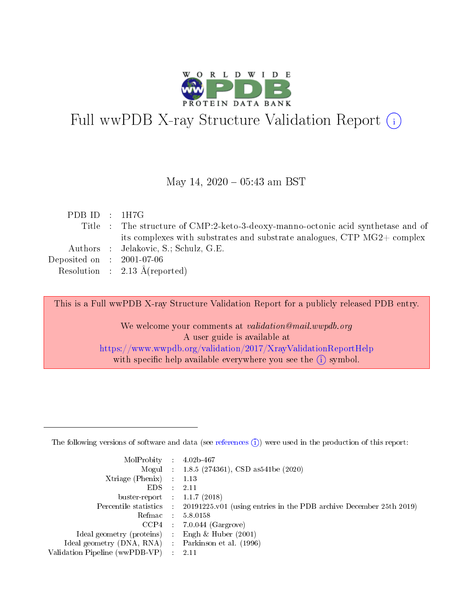

# Full wwPDB X-ray Structure Validation Report (i)

#### May 14,  $2020 - 05:43$  am BST

| PDB ID : $1H7G$             |                                                                                  |
|-----------------------------|----------------------------------------------------------------------------------|
|                             | Title : The structure of CMP:2-keto-3-deoxy-manno-octonic acid synthetase and of |
|                             | its complexes with substrates and substrate analogues, CTP MG2+ complex          |
|                             | Authors : Jelakovic, S.; Schulz, G.E.                                            |
| Deposited on : $2001-07-06$ |                                                                                  |
|                             | Resolution : $2.13 \text{ Å}$ (reported)                                         |
|                             |                                                                                  |

This is a Full wwPDB X-ray Structure Validation Report for a publicly released PDB entry.

We welcome your comments at validation@mail.wwpdb.org A user guide is available at <https://www.wwpdb.org/validation/2017/XrayValidationReportHelp> with specific help available everywhere you see the  $(i)$  symbol.

The following versions of software and data (see [references](https://www.wwpdb.org/validation/2017/XrayValidationReportHelp#references)  $(1)$ ) were used in the production of this report:

| $MolProbability$ 4.02b-467                          |                                                                                            |
|-----------------------------------------------------|--------------------------------------------------------------------------------------------|
|                                                     | Mogul : $1.8.5$ (274361), CSD as 541be (2020)                                              |
| $Xtriangle (Phenix)$ : 1.13                         |                                                                                            |
| EDS -                                               | 2.11                                                                                       |
| buster-report : $1.1.7(2018)$                       |                                                                                            |
|                                                     | Percentile statistics : 20191225.v01 (using entries in the PDB archive December 25th 2019) |
|                                                     | Refmac 5.8.0158                                                                            |
|                                                     | $CCP4$ 7.0.044 (Gargrove)                                                                  |
| Ideal geometry (proteins)                           | Engh & Huber $(2001)$                                                                      |
| Ideal geometry (DNA, RNA) : Parkinson et al. (1996) |                                                                                            |
| Validation Pipeline (wwPDB-VP) : 2.11               |                                                                                            |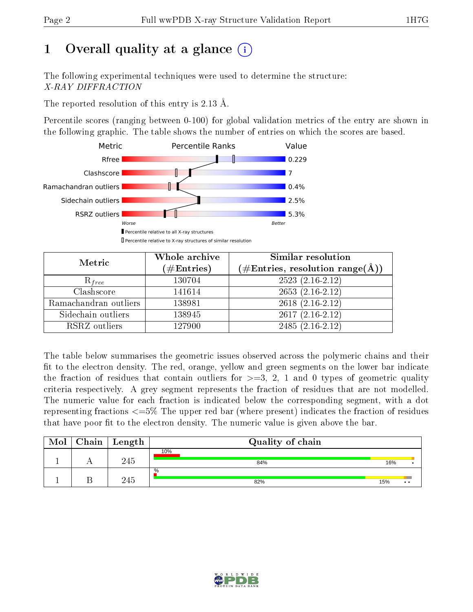# 1 [O](https://www.wwpdb.org/validation/2017/XrayValidationReportHelp#overall_quality)verall quality at a glance  $(i)$

The following experimental techniques were used to determine the structure: X-RAY DIFFRACTION

The reported resolution of this entry is 2.13 Å.

Percentile scores (ranging between 0-100) for global validation metrics of the entry are shown in the following graphic. The table shows the number of entries on which the scores are based.



| Metric                | Whole archive<br>$(\#\text{Entries})$ | Similar resolution<br>$(\#\text{Entries},\, \text{resolution}\; \text{range}(\textup{\AA}))$ |
|-----------------------|---------------------------------------|----------------------------------------------------------------------------------------------|
| $R_{free}$            | 130704                                | $2523(2.16-2.12)$                                                                            |
| Clashscore            | 141614                                | $2653(2.16-2.12)$                                                                            |
| Ramachandran outliers | 138981                                | $2618$ $(2.16-2.12)$                                                                         |
| Sidechain outliers    | 138945                                | $2617(2.16-2.12)$                                                                            |
| RSRZ outliers         | 127900                                | $2485(2.16-2.12)$                                                                            |

The table below summarises the geometric issues observed across the polymeric chains and their fit to the electron density. The red, orange, yellow and green segments on the lower bar indicate the fraction of residues that contain outliers for  $>=3, 2, 1$  and 0 types of geometric quality criteria respectively. A grey segment represents the fraction of residues that are not modelled. The numeric value for each fraction is indicated below the corresponding segment, with a dot representing fractions  $\epsilon=5\%$  The upper red bar (where present) indicates the fraction of residues that have poor fit to the electron density. The numeric value is given above the bar.

| Mol | $Chain$ Length | Quality of chain |     |               |
|-----|----------------|------------------|-----|---------------|
|     | 245            | 10%<br>84%       | 16% |               |
|     | 245            | $\%$<br>82%      | 15% | $\cdot \cdot$ |

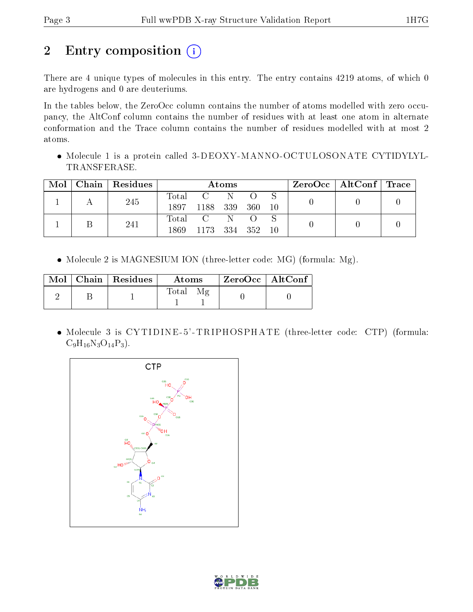# 2 Entry composition (i)

There are 4 unique types of molecules in this entry. The entry contains 4219 atoms, of which 0 are hydrogens and 0 are deuteriums.

In the tables below, the ZeroOcc column contains the number of atoms modelled with zero occupancy, the AltConf column contains the number of residues with at least one atom in alternate conformation and the Trace column contains the number of residues modelled with at most 2 atoms.

 Molecule 1 is a protein called 3-DEOXY-MANNO-OCTULOSONATE CYTIDYLYL-TRANSFERASE.

| Mol | Chain   Residues | Atoms         |                                  |     | $\text{ZeroOcc}$   AltConf   Trace |       |  |  |
|-----|------------------|---------------|----------------------------------|-----|------------------------------------|-------|--|--|
|     | 245              | Total<br>1897 | $\overline{C}$ .<br>1188 339     | - N | - 360                              | 10    |  |  |
|     | 241              | Total<br>1869 | $\overline{C}$ N<br>1173 334 352 |     | $\bigcirc$                         | $-10$ |  |  |

• Molecule 2 is MAGNESIUM ION (three-letter code: MG) (formula: Mg).

|  | $\text{Mol}$   Chain   Residues | Atoms       | $\mid$ ZeroOcc $\mid$ AltConf $\mid$ |  |
|--|---------------------------------|-------------|--------------------------------------|--|
|  |                                 | Mε<br>Total |                                      |  |

• Molecule 3 is CYTIDINE-5'-TRIPHOSPHATE (three-letter code: CTP) (formula:  $C_9H_{16}N_3O_{14}P_3$ .



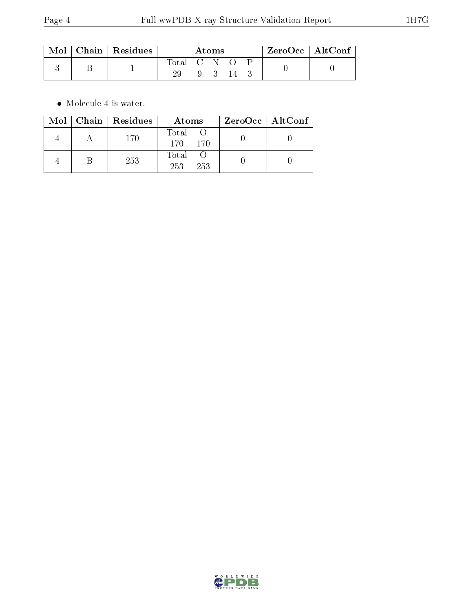| $\rm{Mol}$ | $\vert$ Chain $\vert$ Residues $\vert$ | Atoms             |   |  |    | $\rm ZeroOcc \mid AltConf$ |  |  |
|------------|----------------------------------------|-------------------|---|--|----|----------------------------|--|--|
|            |                                        | Total C N O<br>29 | Q |  | 14 |                            |  |  |

 $\bullet\,$  Molecule 4 is water.

|  | Mol   Chain   Residues | Atoms               | ZeroOcc   AltConf |  |
|--|------------------------|---------------------|-------------------|--|
|  | 170                    | Total O<br>170 170  |                   |  |
|  | 253                    | Total<br>253<br>253 |                   |  |

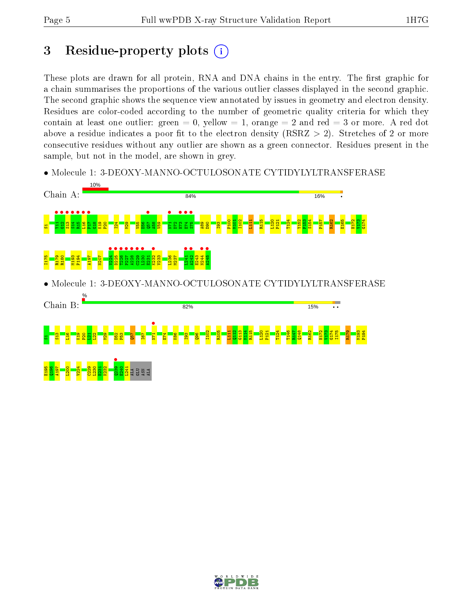## 3 Residue-property plots  $(i)$

These plots are drawn for all protein, RNA and DNA chains in the entry. The first graphic for a chain summarises the proportions of the various outlier classes displayed in the second graphic. The second graphic shows the sequence view annotated by issues in geometry and electron density. Residues are color-coded according to the number of geometric quality criteria for which they contain at least one outlier: green  $= 0$ , yellow  $= 1$ , orange  $= 2$  and red  $= 3$  or more. A red dot above a residue indicates a poor fit to the electron density (RSRZ  $> 2$ ). Stretches of 2 or more consecutive residues without any outlier are shown as a green connector. Residues present in the sample, but not in the model, are shown in grey.

• Molecule 1: 3-DEOXY-MANNO-OCTULOSONATE CYTIDYLYLTRANSFERASE



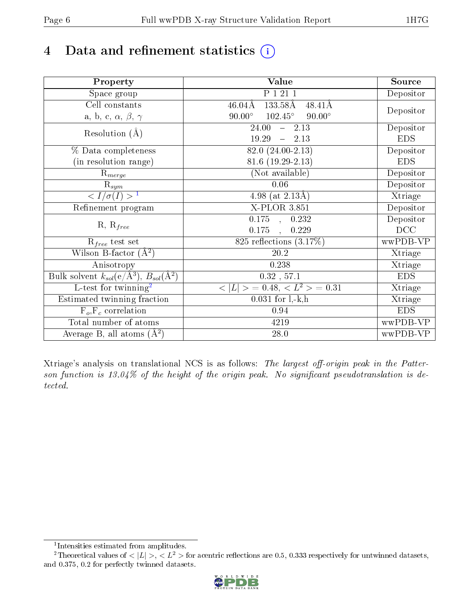# 4 Data and refinement statistics  $(i)$

| Property                                                             | Value                                              | Source     |
|----------------------------------------------------------------------|----------------------------------------------------|------------|
| Space group                                                          | P 1 21 1                                           | Depositor  |
| Cell constants                                                       | 133.58Å<br>$46.04\text{\AA}$<br>$48.41\text{\AA}$  |            |
| a, b, c, $\alpha$ , $\beta$ , $\gamma$                               | $102.45^{\circ}$<br>$90.00^\circ$<br>$90.00^\circ$ | Depositor  |
| Resolution $(A)$                                                     | 24.00<br>$-2.13$                                   | Depositor  |
|                                                                      | 19.29<br>$-2.13$                                   | <b>EDS</b> |
| % Data completeness                                                  | 82.0 (24.00-2.13)                                  | Depositor  |
| (in resolution range)                                                | $81.6(19.29-2.13)$                                 | <b>EDS</b> |
| $\mathrm{R}_{merge}$                                                 | (Not available)                                    | Depositor  |
| $\mathrm{R}_{sym}$                                                   | 0.06                                               | Depositor  |
| $\langle I/\sigma(I) \rangle^{-1}$                                   | $\overline{4.98}$ (at 2.13Å)                       | Xtriage    |
| Refinement program                                                   | $X$ -PLOR 3.851                                    | Depositor  |
|                                                                      | $0.175$ , $0.232$                                  | Depositor  |
| $R, R_{free}$                                                        | 0.175<br>0.229<br>$\overline{\phantom{a}}$         | DCC        |
| $R_{free}$ test set                                                  | 825 reflections $(3.17\%)$                         | wwPDB-VP   |
| Wilson B-factor $(A^2)$                                              | 20.2                                               | Xtriage    |
| Anisotropy                                                           | 0.238                                              | Xtriage    |
| Bulk solvent $k_{sol}(e/\mathring{A}^3)$ , $B_{sol}(\mathring{A}^2)$ | $0.32$ , 57.1                                      | <b>EDS</b> |
| $\overline{L-test for}$ twinning <sup>2</sup>                        | $< L >$ = 0.48, $< L2$ = 0.31                      | Xtriage    |
| Estimated twinning fraction                                          | $0.031$ for $1, -k, h$                             | Xtriage    |
| $F_o, F_c$ correlation                                               | 0.94                                               | <b>EDS</b> |
| Total number of atoms                                                | 4219                                               | wwPDB-VP   |
| Average B, all atoms $(A^2)$                                         | $28.0\,$                                           | wwPDB-VP   |

Xtriage's analysis on translational NCS is as follows: The largest off-origin peak in the Patterson function is  $13.04\%$  of the height of the origin peak. No significant pseudotranslation is detected.

<sup>&</sup>lt;sup>2</sup>Theoretical values of  $\langle |L| \rangle$ ,  $\langle L^2 \rangle$  for acentric reflections are 0.5, 0.333 respectively for untwinned datasets, and 0.375, 0.2 for perfectly twinned datasets.



<span id="page-5-1"></span><span id="page-5-0"></span><sup>1</sup> Intensities estimated from amplitudes.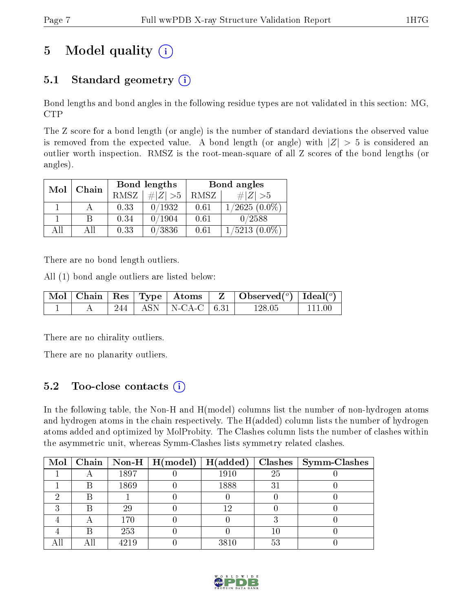# 5 Model quality  $(i)$

### 5.1 Standard geometry  $(i)$

Bond lengths and bond angles in the following residue types are not validated in this section: MG, CTP

The Z score for a bond length (or angle) is the number of standard deviations the observed value is removed from the expected value. A bond length (or angle) with  $|Z| > 5$  is considered an outlier worth inspection. RMSZ is the root-mean-square of all Z scores of the bond lengths (or angles).

| Mol | Chain |      | Bond lengths | Bond angles |                 |  |
|-----|-------|------|--------------|-------------|-----------------|--|
|     |       | RMSZ | $\# Z  > 5$  | RMSZ        | $\# Z  > 5$     |  |
|     |       | 0.33 | 0/1932       | 0.61        | $1/2625(0.0\%)$ |  |
|     | В     | 0.34 | 0/1904       | 0.61        | 0/2588          |  |
| AΠ  | АH    | 0.33 | 0/3836       | 0.61        | $1/5213(0.0\%)$ |  |

There are no bond length outliers.

All (1) bond angle outliers are listed below:

|  |  |                           | $\mid$ Mol $\mid$ Chain $\mid$ Res $\mid$ Type $\mid$ Atoms $\mid$ Z $\mid$ Observed( <sup>o</sup> ) $\mid$ Ideal( <sup>o</sup> ) |        |
|--|--|---------------------------|-----------------------------------------------------------------------------------------------------------------------------------|--------|
|  |  | 244   ASN   N-CA-C   6.31 | 128.05                                                                                                                            | 111 00 |

There are no chirality outliers.

There are no planarity outliers.

### 5.2 Too-close contacts  $(i)$

In the following table, the Non-H and H(model) columns list the number of non-hydrogen atoms and hydrogen atoms in the chain respectively. The H(added) column lists the number of hydrogen atoms added and optimized by MolProbity. The Clashes column lists the number of clashes within the asymmetric unit, whereas Symm-Clashes lists symmetry related clashes.

| $\text{Mol}$ |   |      | $\mid$ Chain $\mid$ Non-H $\mid$ H(model) | H(added) |             | $Clashes$   Symm-Clashes |
|--------------|---|------|-------------------------------------------|----------|-------------|--------------------------|
|              |   | 1897 |                                           | 1910     | 25          |                          |
|              |   | 1869 |                                           | 1888     | $3^{\circ}$ |                          |
|              |   |      |                                           |          |             |                          |
|              |   | 29   |                                           |          |             |                          |
|              |   | 170  |                                           |          |             |                          |
|              | R | 253  |                                           |          | 10          |                          |
|              |   | 4219 |                                           | 3810     | 53          |                          |

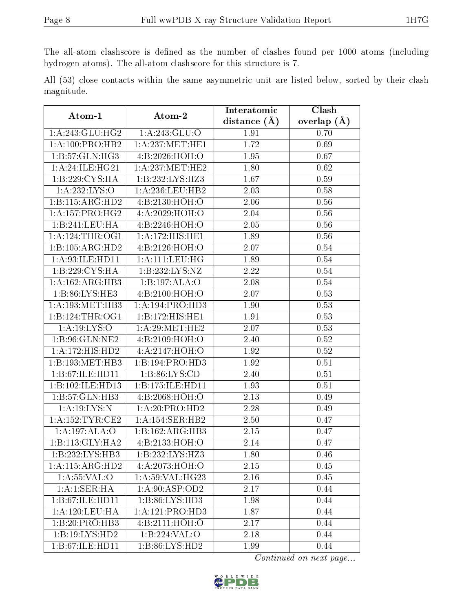The all-atom clashscore is defined as the number of clashes found per 1000 atoms (including hydrogen atoms). The all-atom clashscore for this structure is 7.

All (53) close contacts within the same asymmetric unit are listed below, sorted by their clash magnitude.

| Atom-1                      | Atom-2                       | Interatomic    | Clash         |
|-----------------------------|------------------------------|----------------|---------------|
|                             |                              | distance $(A)$ | overlap $(A)$ |
| 1: A:243: GLU:HG2           | 1: A:243: GLU:O              | 1.91           | 0.70          |
| 1: A:100:PRO:HB2            | 1: A:237: MET:HE1            | 1.72           | 0.69          |
| 1:B:57:GLN:HG3              | 4:B:2026:HOH:O               | 1.95           | 0.67          |
| 1:A:24:ILE:HG21             | 1: A: 237: MET: HE2          | 1.80           | 0.62          |
| $1:B:22\overline{9:CYS:HA}$ | 1:B:232:LYS:HZ3              | 1.67           | 0.59          |
| 1:A:232:LYS:O               | 1: A:236:LEU:HB2             | 2.03           | 0.58          |
| 1:B:115:ARG:HD2             | 4:B:2130:HOH:O               | 2.06           | 0.56          |
| 1: A: 157: PRO:HG2          | 4:A:2029:HOH:O               | 2.04           | 0.56          |
| 1:B:241:LEU:HA              | 4:B:2246:HOH:O               | 2.05           | 0.56          |
| 1: A:124:THR:OG1            | 1:A:172:HIS:HE1              | 1.89           | 0.56          |
| 1:B:105:ARG:HD2             | 4: B: 2126: HOH:O            | 2.07           | 0.54          |
| 1:A:93:ILE:HD11             | 1:A:111:LEU:HG               | 1.89           | 0.54          |
| 1:B:229:CYS:HA              | 1:B:232:LYS:NZ               | 2.22           | 0.54          |
| 1:A:162:ARG:HB3             | 1:B:197:ALA:O                | 2.08           | 0.54          |
| 1:B:86:LYS:HE3              | 4:B:2100:HOH:O               | 2.07           | 0.53          |
| 1:A:193:MET:HB3             | 1:A:194:PRO:HD3              | 1.90           | 0.53          |
| 1:B:124:THR:OG1             | 1:B:172:HIS:HE1              | 1.91           | 0.53          |
| 1: A: 19: LYS: O            | 1: A:29:MET:HE2              | 2.07           | 0.53          |
| 1:B:96:GLN:NE2              | 4:B:2109:HOH:O               | 2.40           | 0.52          |
| 1: A:172:HIS:HD2            | 4:A:2147:HOH:O               | 1.92           | 0.52          |
| 1:B:193:MET:HB3             | 1:B:194:PRO:HD3              | 1.92           | 0.51          |
| 1:B:67:ILE:HD11             | 1: B:86: LYS:CD              | 2.40           | 0.51          |
| 1:B:102:ILE:HD13            | 1:B:175:ILE:HD11             | 1.93           | 0.51          |
| 1:B:57:GLN:HB3              | 4:B:2068:HOH:O               | 2.13           | 0.49          |
| 1:A:19:LYS:N                | 1:A:20:PRO:HD2               | 2.28           | 0.49          |
| 1: A: 152: TYR: CE2         | 1:A:154:SER:HB2              | 2.50           | 0.47          |
| 1:A:197:ALA:O               | 1:B:162:ARG:HB3              | 2.15           | 0.47          |
| 1:B:113:GLY:HA2             | 4:B:2133:HOH:O               | 2.14           | 0.47          |
| 1:B:232:LYS:HB3             | $1:B:\overline{232:LYS:HZ3}$ | 1.80           | 0.46          |
| 1: A: 115: ARG: HD2         | 4:A:2073:HOH:O               | 2.15           | 0.45          |
| 1: A: 55: VAL: O            | 1: A:59: VAL:HG23            | 2.16           | 0.45          |
| 1:A:1:SER:HA                | 1: A:90: ASP:OD2             | 2.17           | 0.44          |
| 1:B:67:ILE:HD11             | 1: B:86: LYS:HD3             | 1.98           | 0.44          |
| 1:A:120:LEU:HA              | 1:A:121:PRO:HD3              | 1.87           | 0.44          |
| 1:B:20:PRO:HB3              | 4:B:2111:HOH:O               | 2.17           | 0.44          |
| 1:B:19:LYS:HD2              | 1:B:224:VAL:O                | 2.18           | 0.44          |
| 1:B:67:ILE:HD11             | 1:B:86:LYS:HD2               | 1.99           | 0.44          |

Continued on next page...

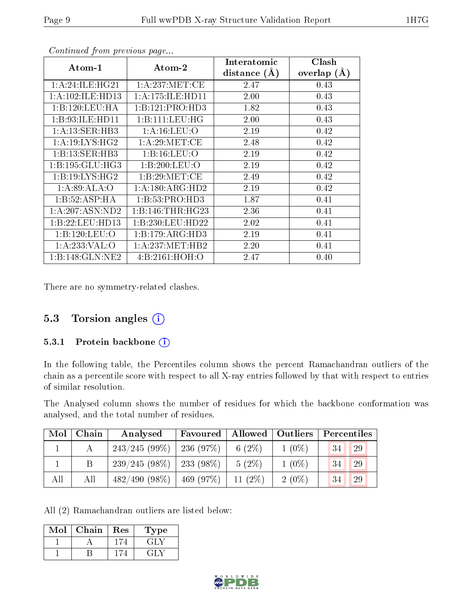| $\rm{Atom\text{-}1}$ | $\boldsymbol{\mathrm{Atom}\text{-}2}$ | Interatomic    | Clash         |
|----------------------|---------------------------------------|----------------|---------------|
|                      |                                       | distance $(A)$ | overlap $(A)$ |
| 1:A:24:ILE:HG21      | 1: A:237: MET:CE                      | 2.47           | 0.43          |
| 1: A: 102: ILE: HD13 | 1:A:175:ILE:HD11                      | 2.00           | 0.43          |
| 1:B:120:LEU:HA       | 1:B:121:PRO:HD3                       | 1.82           | 0.43          |
| 1:B:93:ILE:HD11      | 1:B:111:LEU:HG                        | 2.00           | 0.43          |
| 1: A: 13: SER: HB3   | 1: A: 16: LEU: O                      | 2.19           | 0.42          |
| 1: A:19: LYS: HG2    | 1: A:29: MET:CE                       | 2.48           | 0.42          |
| 1:B:13:SER:HB3       | 1: B: 16: LEU: O                      | 2.19           | 0.42          |
| 1:B:195:GLU:HG3      | 1:B:200:LEU:O                         | 2.19           | 0.42          |
| 1:B:19:LYS:HG2       | 1: B:29:MET:CE                        | 2.49           | 0.42          |
| 1:A:89:ALA:O         | 1:A:180:ARG:HD2                       | 2.19           | 0.42          |
| 1:B:52:ASP:HA        | 1:B:53:PRO:HD3                        | 1.87           | 0.41          |
| 1:A:207:ASN:ND2      | 1:B:146:THR:HG23                      | 2.36           | 0.41          |
| 1:B:22:LEU:HD13      | 1:B:230:LEU:HD22                      | 2.02           | 0.41          |
| 1:B:120:LEU:O        | 1:B:179:ARG:HD3                       | 2.19           | 0.41          |
| 1:A:233:VAL:O        | 1: A:237: MET:HB2                     | 2.20           | 0.41          |
| 1:B:148:GLN:NE2      | 4: B: 2161: HOH:O                     | 2.47           | 0.40          |

Continued from previous page...

There are no symmetry-related clashes.

#### 5.3 Torsion angles (i)

#### 5.3.1 Protein backbone (i)

In the following table, the Percentiles column shows the percent Ramachandran outliers of the chain as a percentile score with respect to all X-ray entries followed by that with respect to entries of similar resolution.

The Analysed column shows the number of residues for which the backbone conformation was analysed, and the total number of residues.

| Mol | Chain | Analysed        | Favoured    | Allowed   | Outliers | $\mid$ Percentiles |
|-----|-------|-----------------|-------------|-----------|----------|--------------------|
|     |       | 243/245(99%)    | $-236(97%)$ | 6 $(2\%)$ | $1(0\%)$ | 34<br>29           |
|     |       | $239/245(98\%)$ | $233(98\%)$ | $5(2\%)$  | $1(0\%)$ | 29<br>34           |
| All | All   | $482/490(98\%)$ | 469(97%)    | 11 $(2%)$ | $2(0\%)$ | 34<br>29           |

All (2) Ramachandran outliers are listed below:

| Mol | Chain | Res | Type |
|-----|-------|-----|------|
|     |       |     | 그리지  |
|     |       |     |      |

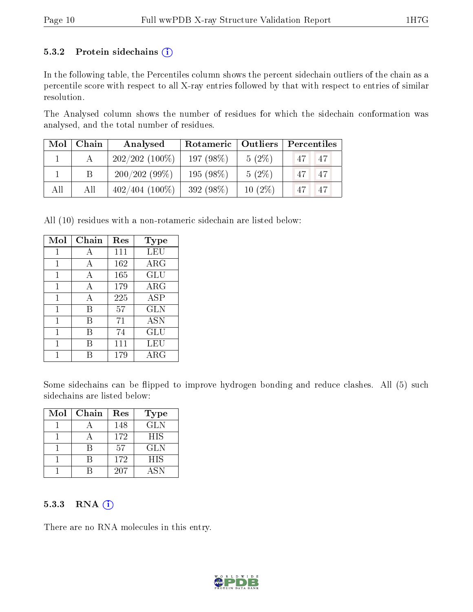#### 5.3.2 Protein sidechains  $(i)$

In the following table, the Percentiles column shows the percent sidechain outliers of the chain as a percentile score with respect to all X-ray entries followed by that with respect to entries of similar resolution.

The Analysed column shows the number of residues for which the sidechain conformation was analysed, and the total number of residues.

| Mol | Chain | Rotameric   Outliers<br>Analysed |           | Percentiles |                                   |  |
|-----|-------|----------------------------------|-----------|-------------|-----------------------------------|--|
|     |       | $202/202(100\%)$                 | 197(98%)  | $5(2\%)$    | <sup>47</sup><br>$^{\circ}47$ ] . |  |
|     | B     | 200/202(99%)                     | 195 (98%) | $5(2\%)$    | $\sqrt{47}$<br>47                 |  |
| All | All   | $402/404$ (100\%)                | 392 (98%) | $10(2\%)$   | 47<br>47                          |  |

All (10) residues with a non-rotameric sidechain are listed below:

| Mol | Chain        | Res | Type       |
|-----|--------------|-----|------------|
| 1   | A            | 111 | LEU        |
| 1   | А            | 162 | $\rm{ARG}$ |
| 1   | A            | 165 | GLU        |
| 1   | $\mathbf{A}$ | 179 | $\rm{ARG}$ |
| 1   | А            | 225 | <b>ASP</b> |
| 1   | В            | 57  | <b>GLN</b> |
| 1   | R            | 71  | <b>ASN</b> |
| 1   | R            | 74  | <b>GLU</b> |
| 1   | R            | 111 | LEU        |
|     |              | 179 | $\rm{ARG}$ |

Some sidechains can be flipped to improve hydrogen bonding and reduce clashes. All (5) such sidechains are listed below:

| Mol | Chain | Res | <b>Type</b> |
|-----|-------|-----|-------------|
|     |       | 148 | <b>GLN</b>  |
|     |       | 172 | <b>HIS</b>  |
|     |       | .57 | <b>GLN</b>  |
|     |       | 172 | <b>HIS</b>  |
|     |       | 207 | <b>ASN</b>  |

#### 5.3.3 RNA (i)

There are no RNA molecules in this entry.

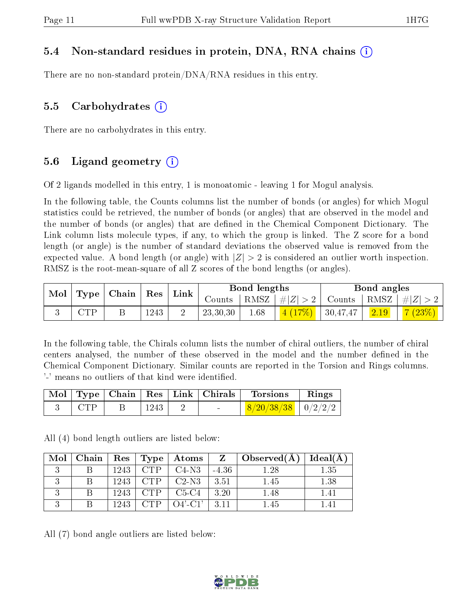#### 5.4 Non-standard residues in protein, DNA, RNA chains (i)

There are no non-standard protein/DNA/RNA residues in this entry.

#### 5.5 Carbohydrates  $(i)$

There are no carbohydrates in this entry.

#### 5.6 Ligand geometry  $(i)$

Of 2 ligands modelled in this entry, 1 is monoatomic - leaving 1 for Mogul analysis.

In the following table, the Counts columns list the number of bonds (or angles) for which Mogul statistics could be retrieved, the number of bonds (or angles) that are observed in the model and the number of bonds (or angles) that are dened in the Chemical Component Dictionary. The Link column lists molecule types, if any, to which the group is linked. The Z score for a bond length (or angle) is the number of standard deviations the observed value is removed from the expected value. A bond length (or angle) with  $|Z| > 2$  is considered an outlier worth inspection. RMSZ is the root-mean-square of all Z scores of the bond lengths (or angles).

| $\text{Mol}$ | $\vert$ Type $\vert$ | $\mid$ Chain $\mid$ Res |      | Link |          | <b>Bond lengths</b> |              |                | Bond angles |          |
|--------------|----------------------|-------------------------|------|------|----------|---------------------|--------------|----------------|-------------|----------|
|              |                      |                         |      |      | Counts   | RMSZ                | $ \# Z  > 2$ | Counts   RMSZ  |             | $\# Z >$ |
|              | $\cap$ TD            |                         | 1243 |      | 23,30,30 | 1.68                | 4(17%)       | $\pm 30,47,47$ | 2.19        | 7(23%)   |

In the following table, the Chirals column lists the number of chiral outliers, the number of chiral centers analysed, the number of these observed in the model and the number defined in the Chemical Component Dictionary. Similar counts are reported in the Torsion and Rings columns. '-' means no outliers of that kind were identified.

|       |      |  | Mol   Type   Chain   Res   Link   Chirals   Torsions | $\parallel$ Rings |
|-------|------|--|------------------------------------------------------|-------------------|
| - CTP | 1243 |  | $8/20/38/38$   $0/2/2/2$                             |                   |

All (4) bond length outliers are listed below:

| $Mol$   Chain |      |       | $\mid$ Res $\mid$ Type $\mid$ Atoms |         | $Z \parallel Observed(A)$ | $\perp$ Ideal(A) |
|---------------|------|-------|-------------------------------------|---------|---------------------------|------------------|
|               | 1243 |       | C4-N3                               | $-4.36$ | 1.28                      | 1.35             |
|               | 1243 |       | C2-N3                               | - 3.51  | 1.45                      | 1.38             |
|               | 1243 |       | C5-C4                               | 3.20    | 1.48                      | 1.41             |
|               | 1243 | 7 U P | $O4'$ -C1'                          | $-3.11$ | 1.45                      | 1.41             |

All (7) bond angle outliers are listed below:

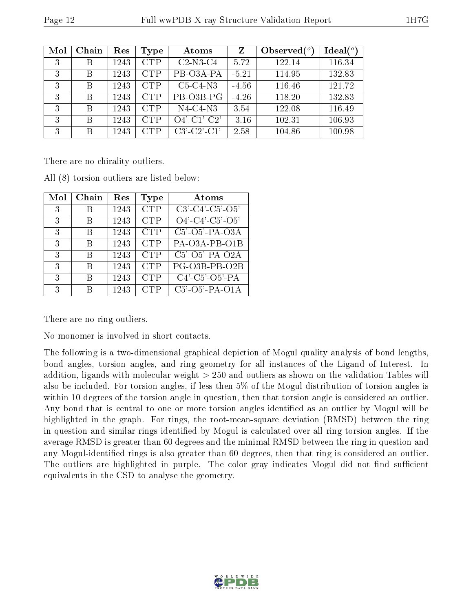| Mol | Chain | Res  | Type       | Atoms                    | Z       | Observed $\binom{o}{c}$ | Ideal(°) |
|-----|-------|------|------------|--------------------------|---------|-------------------------|----------|
| 3   | В     | 1243 | <b>CTP</b> | $C2-N3-C4$               | 5.72    | 122.14                  | 116.34   |
| 3   | В     | 1243 | <b>CTP</b> | PB-O3A-PA                | $-5.21$ | 114.95                  | 132.83   |
| 3   | В     | 1243 | <b>CTP</b> | $C5-C4-N3$               | $-4.56$ | 116.46                  | 121.72   |
| 3   | В     | 1243 | <b>CTP</b> | PB-O3B-PG                | $-4.26$ | 118.20                  | 132.83   |
| 3   | В     | 1243 | <b>CTP</b> | $N4-C4-N3$               | 3.54    | 122.08                  | 116.49   |
| 3   | В     | 1243 | <b>CTP</b> | $Q4'-C1'-\overline{C2'}$ | $-3.16$ | 102.31                  | 106.93   |
| 3   | В     | 1243 | <b>CTP</b> | $C3'-C2'-C1'$            | 2.58    | 104.86                  | 100.98   |

There are no chirality outliers.

| Mol | Chain | $\operatorname{Res}% \left( \mathcal{N}\right) \equiv\operatorname*{Res}\left( \mathcal{N}\right)$ | Type       | Atoms                         |
|-----|-------|----------------------------------------------------------------------------------------------------|------------|-------------------------------|
| 3   |       | 1243                                                                                               | <b>CTP</b> | $C3'$ - $C4'$ - $C5'$ - $O5'$ |
| 3   |       | 1243                                                                                               | <b>CTP</b> | $O4'$ - $C4'$ - $C5'$ - $O5'$ |
| 3   | B     | 1243                                                                                               | <b>CTP</b> | $C5'$ -O5'-PA-O3A             |
| 3   | R     | 1243                                                                                               | <b>CTP</b> | PA-O3A-PB-O1B                 |
| 3   | R     | 1243                                                                                               | <b>CTP</b> | C5'-O5'-PA-O2A                |
| 3   | R     | 1243                                                                                               | <b>CTP</b> | PG-O3B-PB-O2B                 |
| 3   | R     | 1243                                                                                               | <b>CTP</b> | $C4'$ - $C5'$ - $O5'$ - $PA$  |
| 3   |       | 1243                                                                                               | <b>CTP</b> | $C5'$ -O5'-PA-O1A             |

All (8) torsion outliers are listed below:

There are no ring outliers.

No monomer is involved in short contacts.

The following is a two-dimensional graphical depiction of Mogul quality analysis of bond lengths, bond angles, torsion angles, and ring geometry for all instances of the Ligand of Interest. In addition, ligands with molecular weight > 250 and outliers as shown on the validation Tables will also be included. For torsion angles, if less then 5% of the Mogul distribution of torsion angles is within 10 degrees of the torsion angle in question, then that torsion angle is considered an outlier. Any bond that is central to one or more torsion angles identified as an outlier by Mogul will be highlighted in the graph. For rings, the root-mean-square deviation (RMSD) between the ring in question and similar rings identified by Mogul is calculated over all ring torsion angles. If the average RMSD is greater than 60 degrees and the minimal RMSD between the ring in question and any Mogul-identified rings is also greater than 60 degrees, then that ring is considered an outlier. The outliers are highlighted in purple. The color gray indicates Mogul did not find sufficient equivalents in the CSD to analyse the geometry.

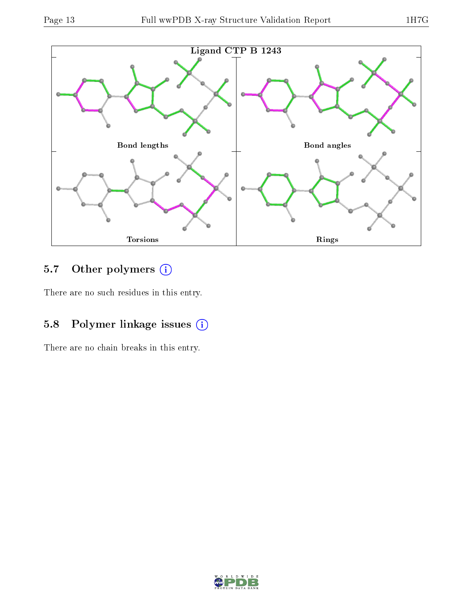

## 5.7 [O](https://www.wwpdb.org/validation/2017/XrayValidationReportHelp#nonstandard_residues_and_ligands)ther polymers (i)

There are no such residues in this entry.

### 5.8 Polymer linkage issues (i)

There are no chain breaks in this entry.

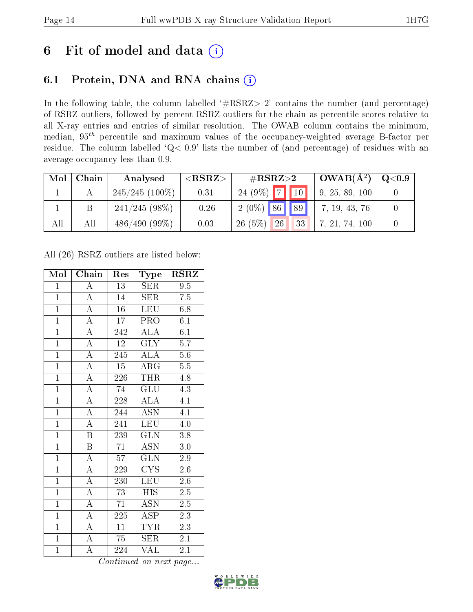## 6 Fit of model and data  $(i)$

### 6.1 Protein, DNA and RNA chains  $(i)$

In the following table, the column labelled  $#RSRZ> 2'$  contains the number (and percentage) of RSRZ outliers, followed by percent RSRZ outliers for the chain as percentile scores relative to all X-ray entries and entries of similar resolution. The OWAB column contains the minimum, median,  $95<sup>th</sup>$  percentile and maximum values of the occupancy-weighted average B-factor per residue. The column labelled ' $Q< 0.9$ ' lists the number of (and percentage) of residues with an average occupancy less than 0.9.

| Mol | Chain | Analysed         | ${ <\hspace{-1.5pt}{\mathrm{RSRZ}} \hspace{-1.5pt}>}$ | $\#\text{RSRZ}{>}2$ | $\vert$ OWAB( $\rm \AA^2)$ ) | $\rm Q\textcolor{black}{<}0.9$ |
|-----|-------|------------------|-------------------------------------------------------|---------------------|------------------------------|--------------------------------|
|     |       | $245/245$ (100%) | 0.31                                                  | $24(9\%)$ 7 10      | 9, 25, 89, 100               |                                |
|     |       | $241/245(98\%)$  | $-0.26$                                               | $2(0\%)$ 86 89      | 7, 19, 43, 76                |                                |
| All | All   | $486/490(99\%)$  | 0.03                                                  | 26(5%)<br>26<br>33  | 7, 21, 74, 100               |                                |

All (26) RSRZ outliers are listed below:

| Mol            | Chain                   | Res              | Type                               | <b>RSRZ</b>      |
|----------------|-------------------------|------------------|------------------------------------|------------------|
| $\mathbf{1}$   | $\overline{\rm A}$      | 13               | SER                                | 9.5              |
| $\mathbf{1}$   | $\overline{A}$          | 14               | <b>SER</b>                         | 7.5              |
| $\overline{1}$ | $\overline{A}$          | $\overline{16}$  | <b>LEU</b>                         | 6.8              |
| $\overline{1}$ | $\overline{\rm A}$      | 17               | <b>PRO</b>                         | 6.1              |
| $\overline{1}$ | $\overline{A}$          | 242              | $\overline{\rm ALA}$               | 6.1              |
| $\mathbf{1}$   | $\overline{\rm A}$      | 12               | GLY                                | 5.7              |
| $\overline{1}$ | $\overline{\rm A}$      | 245              | $\overline{\mathrm{AL}}\mathrm{A}$ | $5.6\,$          |
| $\overline{1}$ | $\overline{A}$          | $\overline{15}$  | $\overline{\text{ARG}}$            | $\overline{5.5}$ |
| $\overline{1}$ | $\overline{\rm A}$      | 226              | THR                                | 4.8              |
| $\overline{1}$ | $\overline{A}$          | $\overline{74}$  | $\overline{{\rm GLU}}$             | 4.3              |
| $\overline{1}$ | $\overline{\rm A}$      | 228              | $\overline{\rm ALA}$               | 4.1              |
| $\overline{1}$ | $\overline{\rm A}$      | 244              | $\overline{\mathrm{ASN}}$          | $\overline{4.1}$ |
| $\overline{1}$ | $\overline{\rm A}$      | 241              | LEU                                | $4.0\,$          |
| $\overline{1}$ | $\overline{\mathrm{B}}$ | 239              | $\overline{\text{GLN}}$            | 3.8              |
| $\overline{1}$ | $\overline{B}$          | $\overline{71}$  | $\overline{\mathrm{ASN}}$          | $3.0\,$          |
| $\overline{1}$ | $\overline{\rm A}$      | 57               | $\overline{\text{GLN}}$            | $2.9\,$          |
| $\overline{1}$ | $\overline{\rm A}$      | $\overline{229}$ | $\overline{\text{CYS}}$            | $2.\overline{6}$ |
| $\overline{1}$ | $\overline{\rm A}$      | 230              | <b>LEU</b>                         | 2.6              |
| $\overline{1}$ | $\overline{\rm A}$      | 73               | <b>HIS</b>                         | $\overline{2.5}$ |
| $\overline{1}$ | $\overline{\rm A}$      | 71               | <b>ASN</b>                         | $2.5\,$          |
| $\overline{1}$ | $\overline{\rm A}$      | $\overline{225}$ | <b>ASP</b>                         | $\overline{2.3}$ |
| $\overline{1}$ | $\overline{\rm A}$      | 11               | $\overline{\text{TYR}}$            | 2.3              |
| $\overline{1}$ | $\overline{\rm A}$      | 75               | SER                                | $2.1\,$          |
| $\mathbf{1}$   | $\overline{\rm A}$      | 224              | VAL                                | 2.1              |

Continued on next page...

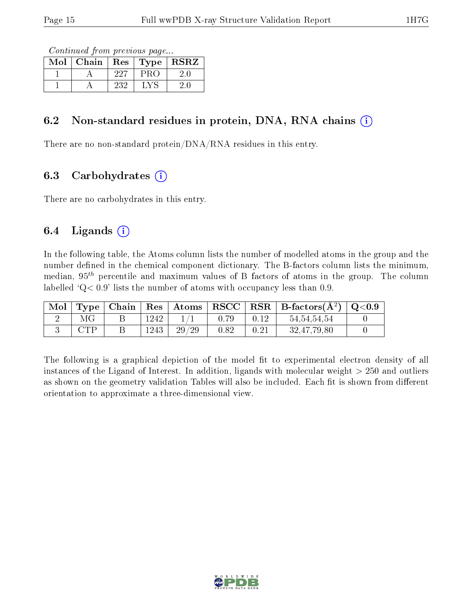Continued from previous page...

| Mol | Chain | Res | Type | <b>RSRZ</b> |
|-----|-------|-----|------|-------------|
|     |       | 227 |      |             |
|     |       | 232 |      |             |

#### 6.2 Non-standard residues in protein, DNA, RNA chains  $(i)$

There are no non-standard protein/DNA/RNA residues in this entry.

### 6.3 Carbohydrates  $(i)$

There are no carbohydrates in this entry.

### 6.4 Ligands  $(i)$

In the following table, the Atoms column lists the number of modelled atoms in the group and the number defined in the chemical component dictionary. The B-factors column lists the minimum, median,  $95<sup>th</sup>$  percentile and maximum values of B factors of atoms in the group. The column labelled  $Q < 0.9$ ' lists the number of atoms with occupancy less than 0.9.

| Mol |     |      |       |      |      | $\mid$ Type $\mid$ Chain $\mid$ Res $\mid$ Atoms $\mid$ RSCC $\mid$ RSR $\mid$ B-factors(A <sup>2</sup> ) $\mid$ Q<0.9 |  |
|-----|-----|------|-------|------|------|------------------------------------------------------------------------------------------------------------------------|--|
|     | МG  | 1242 |       | 0.79 | 0.12 | 54, 54, 54, 54                                                                                                         |  |
|     | CTP | 1243 | 29/29 | 0.82 |      | 32,47,79,80                                                                                                            |  |

The following is a graphical depiction of the model fit to experimental electron density of all instances of the Ligand of Interest. In addition, ligands with molecular weight  $> 250$  and outliers as shown on the geometry validation Tables will also be included. Each fit is shown from different orientation to approximate a three-dimensional view.